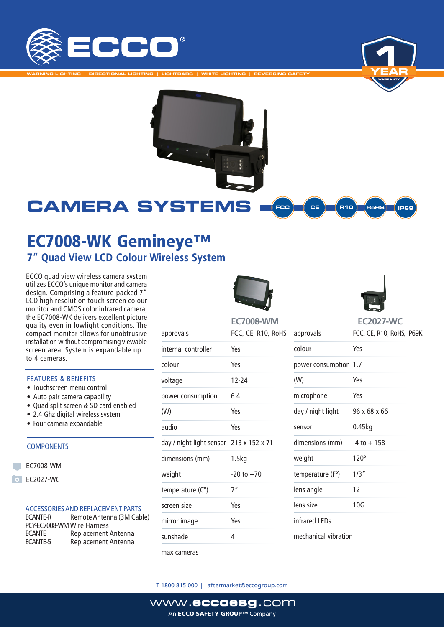

**WARNING LIGHTING | DIRECTIONAL LIGHTING | LIGHTBARS | WHITE LIGHTING | REVERSING SAFETY**





### **CAMERA SYSTEMS** FCC **CE R10 RoHS** IDAS

# EC7008-WK Gemineye™ **7" Quad View LCD Colour Wireless System**

ECCO quad view wireless camera system utilizes ECCO's unique monitor and camera design. Comprising a feature-packed 7" LCD high resolution touch screen colour monitor and CMOS color infrared camera, the EC7008-WK delivers excellent picture quality even in lowlight conditions. The compact monitor allows for unobtrusive installation without compromising viewable screen area. System is expandable up to 4 cameras.

### FEATURES & BENEFITS

- Touchscreen menu control
- Auto pair camera capability
- Quad split screen & SD card enabled
- 2.4 Ghz digital wireless system
- Four camera expandable

### **COMPONENTS**

- **EC7008-WM**
- **O** EC2027-WC

### ACCESSORIES AND REPLACEMENT PARTS

| Remote Antenna (3M Cable)  |
|----------------------------|
| PCY-EC7008-WM Wire Harness |
| Replacement Antenna        |
| Replacement Antenna        |
|                            |





oHS **EC7008-WM**

**EC2027-WC**

| approvals                               | FCC, CE, R10, Ro |
|-----------------------------------------|------------------|
| internal controller                     | Yes              |
| colour                                  | Yes              |
| voltage                                 | $12 - 24$        |
| power consumption                       | 6.4              |
| (W)                                     | Yes              |
| audio                                   | Yes              |
| day / night light sensor 213 x 152 x 71 |                  |
| dimensions (mm)                         | 1.5kg            |
| weight                                  | $-20$ to $+70$   |
| temperature (C°)                        | 7''              |
| screen size                             | Yes              |
| mirror image                            | Yes              |
| sunshade                                | 4                |
|                                         |                  |

max cameras

| approvals             | FCC, CE, R10, RoHS, IP69K |
|-----------------------|---------------------------|
| colour                | Yes                       |
| power consumption 1.7 |                           |
| (W)                   | Yes                       |
| microphone            | Yes                       |
| day / night light     | 96 x 68 x 66              |
| sensor                | $0.45$ kg                 |
| dimensions (mm)       | $-4$ to $+158$            |
| weight                | $120^\circ$               |
| temperature (F°)      | 1/3''                     |
| lens angle            | 12                        |
| lens size             | 10G                       |
| infrared LEDs         |                           |
| mechanical vibration  |                           |

T 1800 815 000 | aftermarket@eccogroup.com